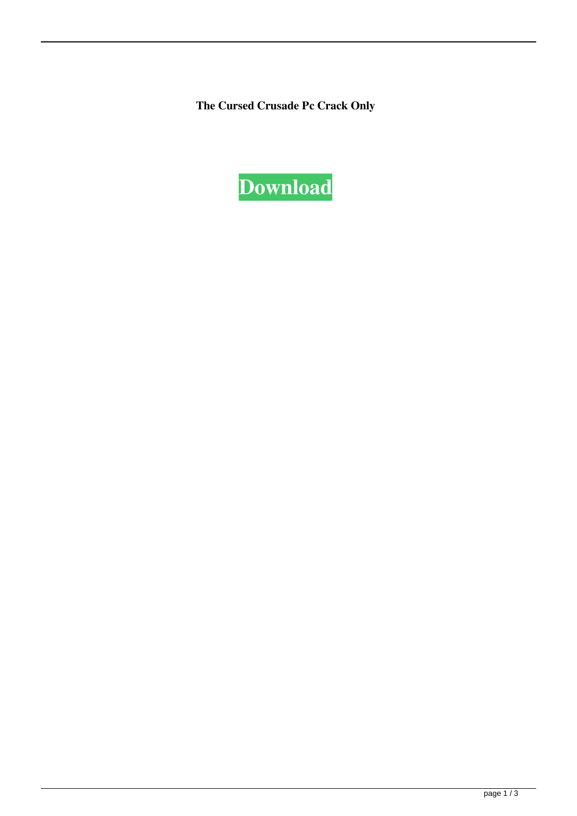**The Cursed Crusade Pc Crack Only**

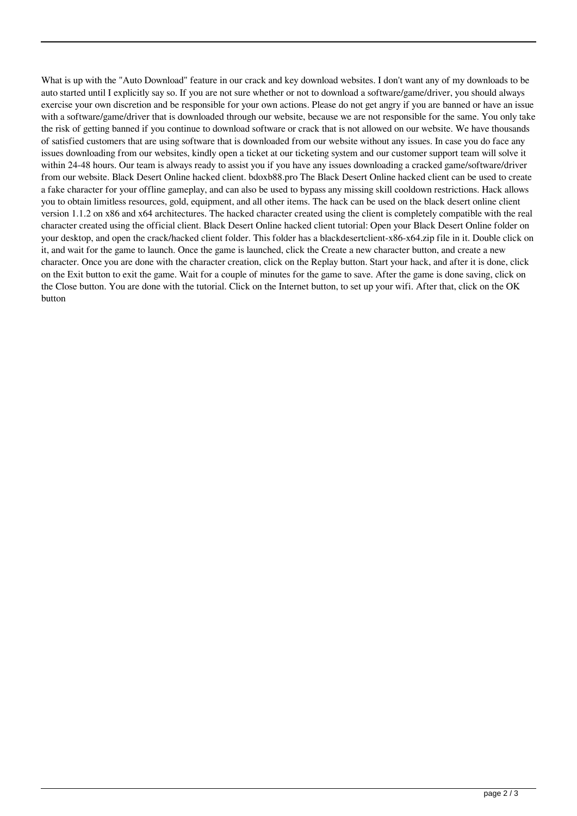What is up with the "Auto Download" feature in our crack and key download websites. I don't want any of my downloads to be auto started until I explicitly say so. If you are not sure whether or not to download a software/game/driver, you should always exercise your own discretion and be responsible for your own actions. Please do not get angry if you are banned or have an issue with a software/game/driver that is downloaded through our website, because we are not responsible for the same. You only take the risk of getting banned if you continue to download software or crack that is not allowed on our website. We have thousands of satisfied customers that are using software that is downloaded from our website without any issues. In case you do face any issues downloading from our websites, kindly open a ticket at our ticketing system and our customer support team will solve it within 24-48 hours. Our team is always ready to assist you if you have any issues downloading a cracked game/software/driver from our website. Black Desert Online hacked client. bdoxb88.pro The Black Desert Online hacked client can be used to create a fake character for your offline gameplay, and can also be used to bypass any missing skill cooldown restrictions. Hack allows you to obtain limitless resources, gold, equipment, and all other items. The hack can be used on the black desert online client version 1.1.2 on x86 and x64 architectures. The hacked character created using the client is completely compatible with the real character created using the official client. Black Desert Online hacked client tutorial: Open your Black Desert Online folder on your desktop, and open the crack/hacked client folder. This folder has a blackdesertclient-x86-x64.zip file in it. Double click on it, and wait for the game to launch. Once the game is launched, click the Create a new character button, and create a new character. Once you are done with the character creation, click on the Replay button. Start your hack, and after it is done, click on the Exit button to exit the game. Wait for a couple of minutes for the game to save. After the game is done saving, click on the Close button. You are done with the tutorial. Click on the Internet button, to set up your wifi. After that, click on the OK button